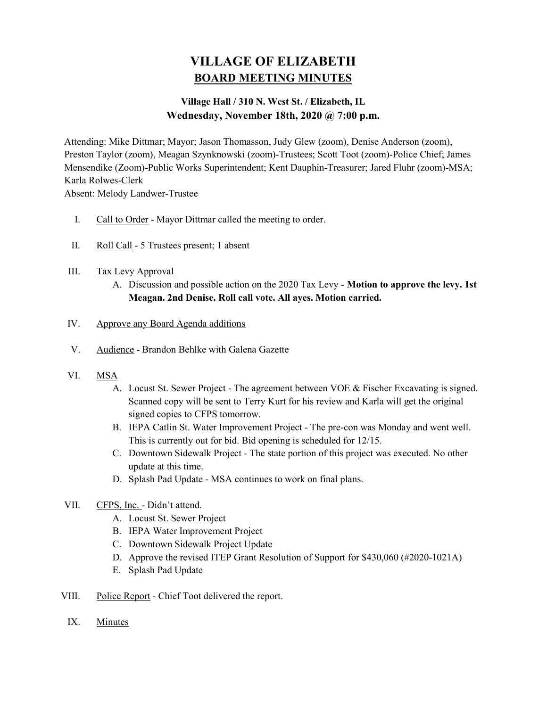# VILLAGE OF ELIZABETH BOARD MEETING MINUTES

# Village Hall / 310 N. West St. / Elizabeth, IL Wednesday, November 18th, 2020 @ 7:00 p.m.

Attending: Mike Dittmar; Mayor; Jason Thomasson, Judy Glew (zoom), Denise Anderson (zoom), Preston Taylor (zoom), Meagan Szynknowski (zoom)-Trustees; Scott Toot (zoom)-Police Chief; James Mensendike (Zoom)-Public Works Superintendent; Kent Dauphin-Treasurer; Jared Fluhr (zoom)-MSA; Karla Rolwes-Clerk

Absent: Melody Landwer-Trustee

- I. Call to Order Mayor Dittmar called the meeting to order.
- II. Roll Call 5 Trustees present; 1 absent

## III. Tax Levy Approval

A. Discussion and possible action on the 2020 Tax Levy - Motion to approve the levy. 1st Meagan. 2nd Denise. Roll call vote. All ayes. Motion carried.

#### IV. Approve any Board Agenda additions

- V. Audience Brandon Behlke with Galena Gazette
- VI. MSA
	- A. Locust St. Sewer Project The agreement between VOE & Fischer Excavating is signed. Scanned copy will be sent to Terry Kurt for his review and Karla will get the original signed copies to CFPS tomorrow.
	- B. IEPA Catlin St. Water Improvement Project The pre-con was Monday and went well. This is currently out for bid. Bid opening is scheduled for 12/15.
	- C. Downtown Sidewalk Project The state portion of this project was executed. No other update at this time.
	- D. Splash Pad Update MSA continues to work on final plans.
- VII. CFPS, Inc. Didn't attend.
	- A. Locust St. Sewer Project
	- B. IEPA Water Improvement Project
	- C. Downtown Sidewalk Project Update
	- D. Approve the revised ITEP Grant Resolution of Support for \$430,060 (#2020-1021A)
	- E. Splash Pad Update
- VIII. Police Report Chief Toot delivered the report.
	- IX. Minutes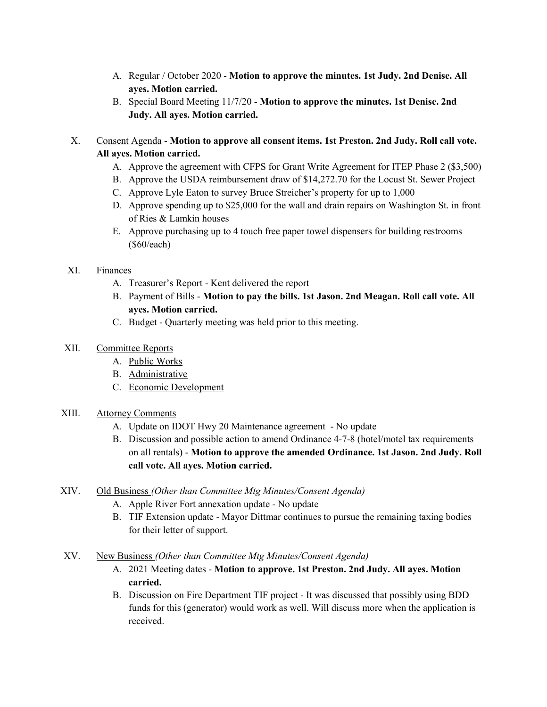- A. Regular / October 2020 Motion to approve the minutes. 1st Judy. 2nd Denise. All ayes. Motion carried.
- B. Special Board Meeting 11/7/20 Motion to approve the minutes. 1st Denise. 2nd Judy. All ayes. Motion carried.
- X. Consent Agenda Motion to approve all consent items. 1st Preston. 2nd Judy. Roll call vote. All ayes. Motion carried.
	- A. Approve the agreement with CFPS for Grant Write Agreement for ITEP Phase 2 (\$3,500)
	- B. Approve the USDA reimbursement draw of \$14,272.70 for the Locust St. Sewer Project
	- C. Approve Lyle Eaton to survey Bruce Streicher's property for up to 1,000
	- D. Approve spending up to \$25,000 for the wall and drain repairs on Washington St. in front of Ries & Lamkin houses
	- E. Approve purchasing up to 4 touch free paper towel dispensers for building restrooms (\$60/each)

#### XI. Finances

- A. Treasurer's Report Kent delivered the report
- B. Payment of Bills Motion to pay the bills. 1st Jason. 2nd Meagan. Roll call vote. All ayes. Motion carried.
- C. Budget Quarterly meeting was held prior to this meeting.

## XII. Committee Reports

- A. Public Works
- B. Administrative
- C. Economic Development

#### XIII. Attorney Comments

- A. Update on IDOT Hwy 20 Maintenance agreement No update
- B. Discussion and possible action to amend Ordinance 4-7-8 (hotel/motel tax requirements on all rentals) - Motion to approve the amended Ordinance. 1st Jason. 2nd Judy. Roll call vote. All ayes. Motion carried.
- XIV. Old Business (Other than Committee Mtg Minutes/Consent Agenda)
	- A. Apple River Fort annexation update No update
	- B. TIF Extension update Mayor Dittmar continues to pursue the remaining taxing bodies for their letter of support.
- XV. New Business (Other than Committee Mtg Minutes/Consent Agenda)
	- A. 2021 Meeting dates Motion to approve. 1st Preston. 2nd Judy. All ayes. Motion carried.
	- B. Discussion on Fire Department TIF project It was discussed that possibly using BDD funds for this (generator) would work as well. Will discuss more when the application is received.